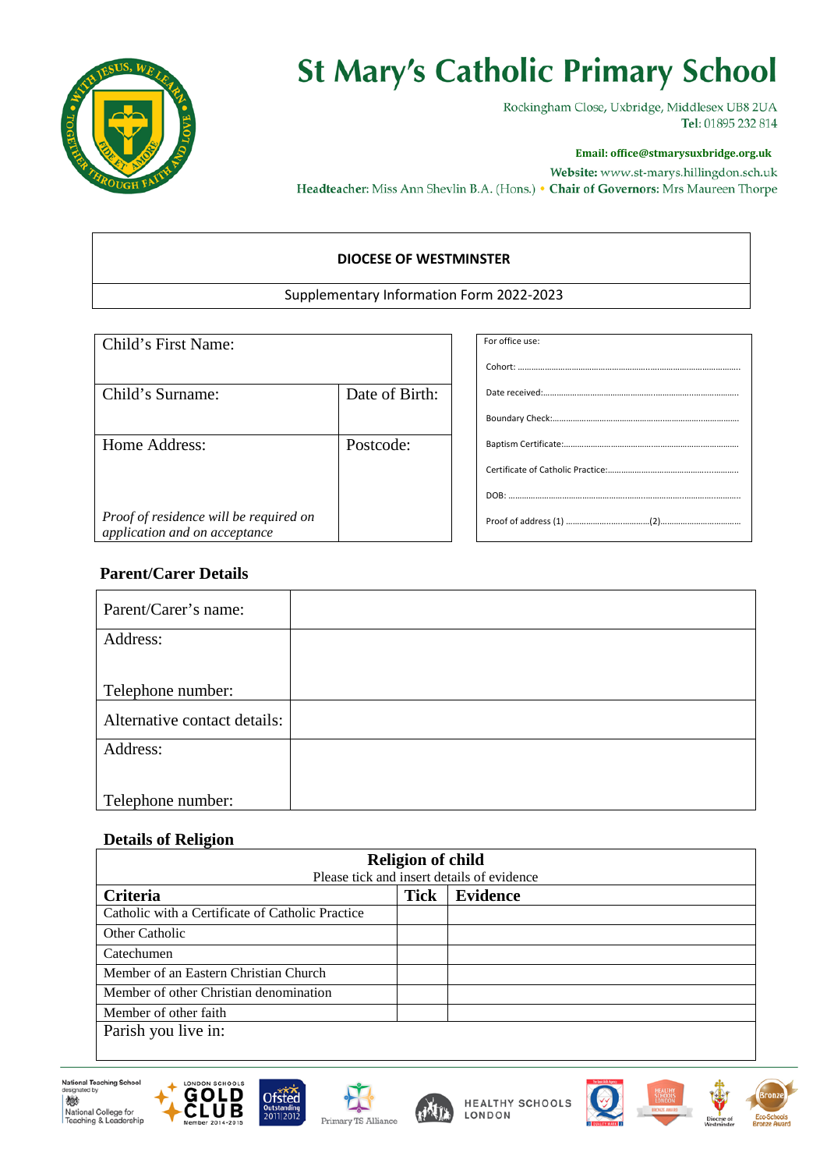

## **St Mary's Catholic Primary School**

Rockingham Close, Uxbridge, Middlesex UB8 2UA Tel: 01895 232 814

#### **Email: office@stmarysuxbridge.org.uk**

Website: www.st-marys.hillingdon.sch.uk Headteacher: Miss Ann Shevlin B.A. (Hons.) • Chair of Governors: Mrs Maureen Thorpe

#### **DIOCESE OF WESTMINSTER**

#### Supplementary Information Form 2022-2023

| Child's First Name:                                                     |                | For office use: |
|-------------------------------------------------------------------------|----------------|-----------------|
|                                                                         |                |                 |
| Child's Surname:                                                        | Date of Birth: |                 |
|                                                                         |                |                 |
| Home Address:                                                           | Postcode:      |                 |
|                                                                         |                |                 |
|                                                                         |                |                 |
| Proof of residence will be required on<br>application and on acceptance |                |                 |

### **Parent/Carer Details**

| Parent/Carer's name:         |  |
|------------------------------|--|
| Address:                     |  |
|                              |  |
|                              |  |
| Telephone number:            |  |
| Alternative contact details: |  |
| Address:                     |  |
|                              |  |
|                              |  |
| Telephone number:            |  |

#### **Details of Religion**

| <b>Religion of child</b>                         |             |                 |  |  |  |  |
|--------------------------------------------------|-------------|-----------------|--|--|--|--|
| Please tick and insert details of evidence       |             |                 |  |  |  |  |
| Criteria                                         | <b>Tick</b> | <b>Evidence</b> |  |  |  |  |
| Catholic with a Certificate of Catholic Practice |             |                 |  |  |  |  |
| Other Catholic                                   |             |                 |  |  |  |  |
| Catechumen                                       |             |                 |  |  |  |  |
| Member of an Eastern Christian Church            |             |                 |  |  |  |  |
| Member of other Christian denomination           |             |                 |  |  |  |  |
| Member of other faith                            |             |                 |  |  |  |  |
| Parish you live in:                              |             |                 |  |  |  |  |